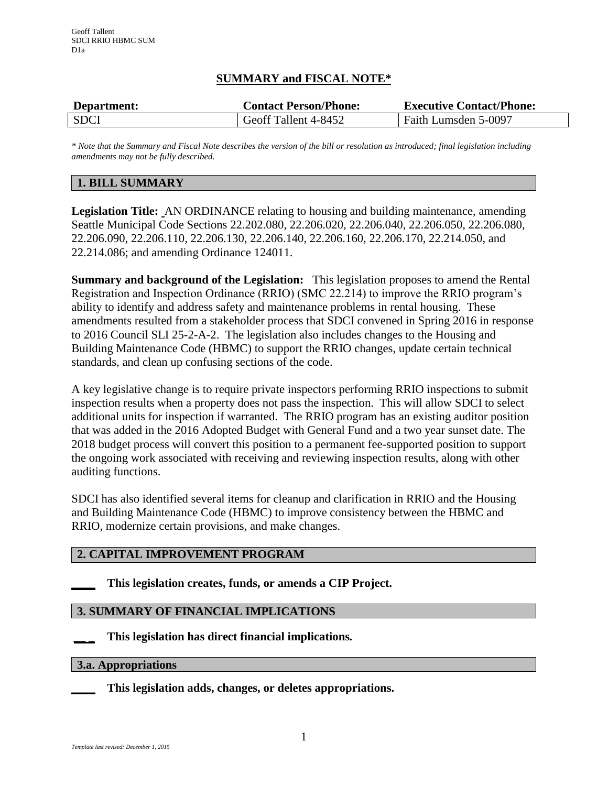## **SUMMARY and FISCAL NOTE\***

| Department: | <b>Contact Person/Phone:</b> | <b>Executive Contact/Phone:</b> |
|-------------|------------------------------|---------------------------------|
| <b>SDCI</b> | Geoff Tallent 4-8452         | Faith Lumsden 5-0097            |

*\* Note that the Summary and Fiscal Note describes the version of the bill or resolution as introduced; final legislation including amendments may not be fully described.*

## **1. BILL SUMMARY**

**Legislation Title:** AN ORDINANCE relating to housing and building maintenance, amending Seattle Municipal Code Sections 22.202.080, 22.206.020, 22.206.040, 22.206.050, 22.206.080, 22.206.090, 22.206.110, 22.206.130, 22.206.140, 22.206.160, 22.206.170, 22.214.050, and 22.214.086; and amending Ordinance 124011.

**Summary and background of the Legislation:** This legislation proposes to amend the Rental Registration and Inspection Ordinance (RRIO) (SMC 22.214) to improve the RRIO program's ability to identify and address safety and maintenance problems in rental housing. These amendments resulted from a stakeholder process that SDCI convened in Spring 2016 in response to 2016 Council SLI 25-2-A-2. The legislation also includes changes to the Housing and Building Maintenance Code (HBMC) to support the RRIO changes, update certain technical standards, and clean up confusing sections of the code.

A key legislative change is to require private inspectors performing RRIO inspections to submit inspection results when a property does not pass the inspection. This will allow SDCI to select additional units for inspection if warranted. The RRIO program has an existing auditor position that was added in the 2016 Adopted Budget with General Fund and a two year sunset date. The 2018 budget process will convert this position to a permanent fee-supported position to support the ongoing work associated with receiving and reviewing inspection results, along with other auditing functions.

SDCI has also identified several items for cleanup and clarification in RRIO and the Housing and Building Maintenance Code (HBMC) to improve consistency between the HBMC and RRIO, modernize certain provisions, and make changes.

## **2. CAPITAL IMPROVEMENT PROGRAM**

#### **\_\_\_\_ This legislation creates, funds, or amends a CIP Project.**

## **3. SUMMARY OF FINANCIAL IMPLICATIONS**

**\_\_ \_ This legislation has direct financial implications***.*

#### **3.a. Appropriations**

**\_\_\_\_ This legislation adds, changes, or deletes appropriations.**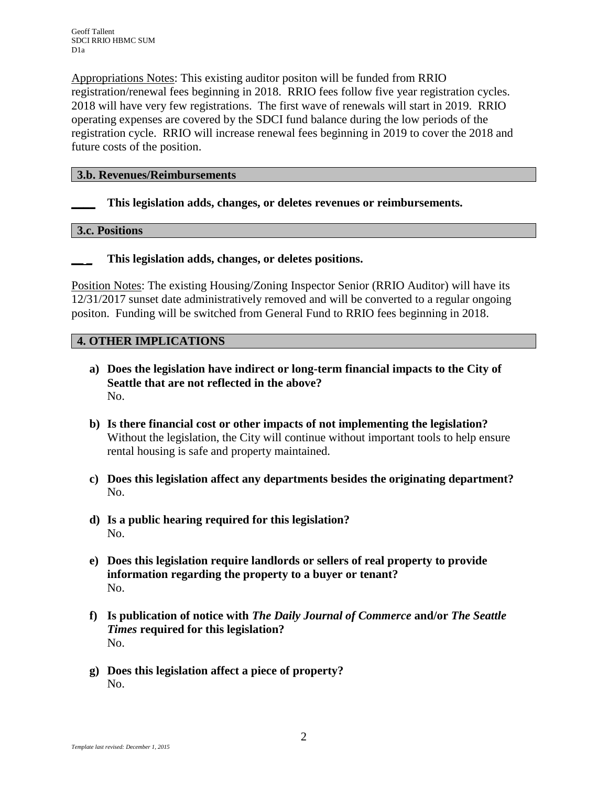Appropriations Notes: This existing auditor positon will be funded from RRIO registration/renewal fees beginning in 2018. RRIO fees follow five year registration cycles. 2018 will have very few registrations. The first wave of renewals will start in 2019. RRIO operating expenses are covered by the SDCI fund balance during the low periods of the registration cycle. RRIO will increase renewal fees beginning in 2019 to cover the 2018 and future costs of the position.

## **3.b. Revenues/Reimbursements**

## **\_\_\_\_ This legislation adds, changes, or deletes revenues or reimbursements.**

#### **3.c. Positions**

## **\_\_ \_ This legislation adds, changes, or deletes positions.**

Position Notes: The existing Housing/Zoning Inspector Senior (RRIO Auditor) will have its 12/31/2017 sunset date administratively removed and will be converted to a regular ongoing positon. Funding will be switched from General Fund to RRIO fees beginning in 2018.

## **4. OTHER IMPLICATIONS**

- **a) Does the legislation have indirect or long-term financial impacts to the City of Seattle that are not reflected in the above?** No.
- **b) Is there financial cost or other impacts of not implementing the legislation?** Without the legislation, the City will continue without important tools to help ensure rental housing is safe and property maintained.
- **c) Does this legislation affect any departments besides the originating department?**  No.
- **d) Is a public hearing required for this legislation?** No.
- **e) Does this legislation require landlords or sellers of real property to provide information regarding the property to a buyer or tenant?** No.
- **f) Is publication of notice with** *The Daily Journal of Commerce* **and/or** *The Seattle Times* **required for this legislation?** No.
- **g) Does this legislation affect a piece of property?** No.